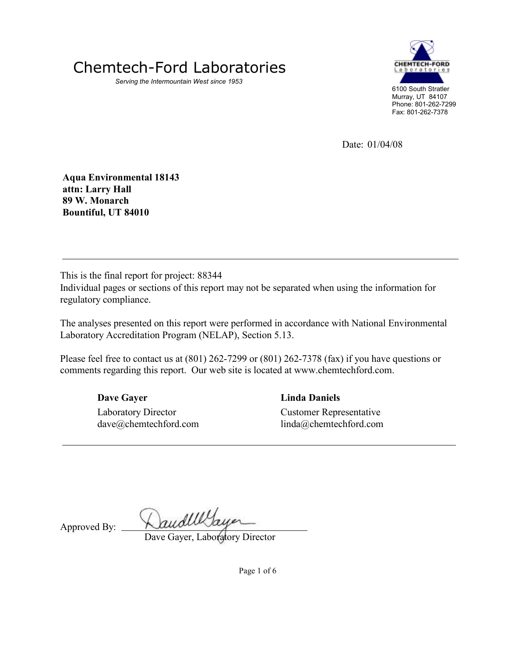

Serving the Intermountain West since 1953



Date: 01/04/08

Aqua Environmental 18143 attn: Larry Hall 89 W. Monarch Bountiful, UT 84010

This is the final report for project: 88344

Individual pages or sections of this report may not be separated when using the information for regulatory compliance.

The analyses presented on this report were performed in accordance with National Environmental Laboratory Accreditation Program (NELAP), Section 5.13.

Please feel free to contact us at (801) 262-7299 or (801) 262-7378 (fax) if you have questions or comments regarding this report. Our web site is located at www.chemtechford.com.

Dave Gayer

Laboratory Director dave@chemtechford.com Linda Daniels Customer Representative linda@chemtechford.com

Approved By:

DaudWlayer

Dave Gayer, Laboratory Director

Page 1 of 6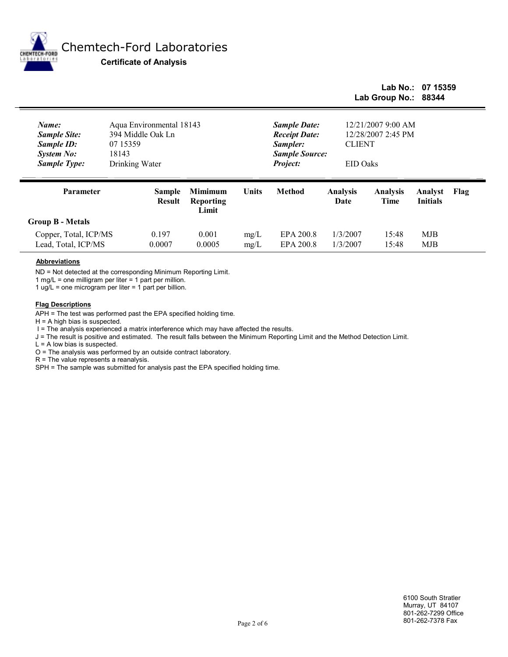

ē

# Chemtech-Ford Laboratories

Certificate of Analysis

## Lab Group No.: 88344 Lab No.: 07 15359

| Name:<br><b>Sample Site:</b><br>Sample ID:<br><b>System No:</b><br><b>Sample Type:</b> | Aqua Environmental 18143<br>394 Middle Oak Ln<br>07 15359<br>18143<br>Drinking Water |                                             | <b>Sample Date:</b><br><b>Receipt Date:</b><br>Sampler:<br><b>Sample Source:</b><br>Project: | 12/21/2007 9:00 AM<br>12/28/2007 2:45 PM<br><b>CLIENT</b><br>EID Oaks |                         |                         |                            |      |  |
|----------------------------------------------------------------------------------------|--------------------------------------------------------------------------------------|---------------------------------------------|----------------------------------------------------------------------------------------------|-----------------------------------------------------------------------|-------------------------|-------------------------|----------------------------|------|--|
| Parameter                                                                              | <b>Sample</b><br><b>Result</b>                                                       | <b>Mimimum</b><br><b>Reporting</b><br>Limit | <b>Units</b>                                                                                 | <b>Method</b>                                                         | <b>Analysis</b><br>Date | <b>Analysis</b><br>Time | Analyst<br><b>Initials</b> | Flag |  |
| <b>Group B - Metals</b>                                                                |                                                                                      |                                             |                                                                                              |                                                                       |                         |                         |                            |      |  |
| Copper, Total, ICP/MS<br>Lead, Total, ICP/MS                                           | 0.197<br>0.0007                                                                      | 0.001<br>0.0005                             | mg/L<br>mg/L                                                                                 | EPA 200.8<br>EPA 200.8                                                | 1/3/2007<br>1/3/2007    | 15:48<br>15:48          | MJB<br>MJB                 |      |  |

#### Abbreviations

ND = Not detected at the corresponding Minimum Reporting Limit.

1 mg/L = one milligram per liter = 1 part per million.

1 ug/L = one microgram per liter = 1 part per billion.

#### Flag Descriptions

APH = The test was performed past the EPA specified holding time.

 $H = A$  high bias is suspected.

I = The analysis experienced a matrix interference which may have affected the results.

J = The result is positive and estimated. The result falls between the Minimum Reporting Limit and the Method Detection Limit.

 $L = A$  low bias is suspected.

O = The analysis was performed by an outside contract laboratory.

R = The value represents a reanalysis.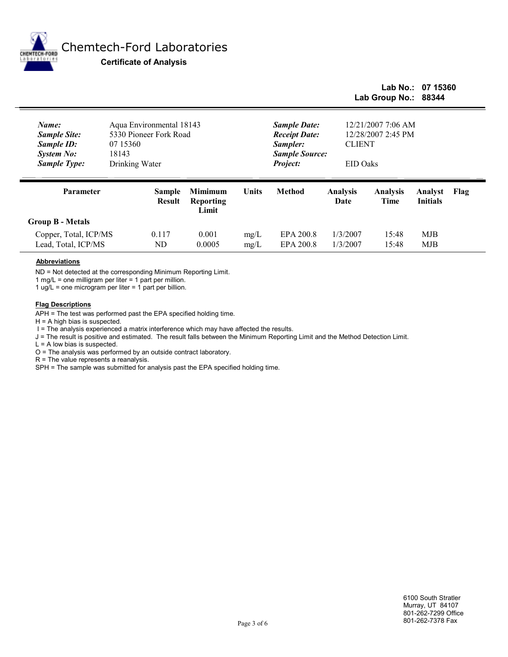

 $\overline{\phantom{0}}$ 

# Chemtech-Ford Laboratories

Certificate of Analysis

## Lab Group No.: 88344 Lab No.: 07 15360

| Name:<br><b>Sample Site:</b><br>Sample ID:<br><b>System No:</b><br><b>Sample Type:</b> | 18143 | Aqua Environmental 18143<br>5330 Pioneer Fork Road<br>07 15360<br>Drinking Water |                                             |              | <b>Sample Date:</b><br><b>Receipt Date:</b><br>Sampler:<br><b>Sample Source:</b><br>Project: | 12/21/2007 7:06 AM<br>12/28/2007 2:45 PM<br><b>CLIENT</b><br>EID Oaks |                         |                            |      |  |  |  |
|----------------------------------------------------------------------------------------|-------|----------------------------------------------------------------------------------|---------------------------------------------|--------------|----------------------------------------------------------------------------------------------|-----------------------------------------------------------------------|-------------------------|----------------------------|------|--|--|--|
| <b>Parameter</b>                                                                       |       | <b>Sample</b><br><b>Result</b>                                                   | <b>Mimimum</b><br><b>Reporting</b><br>Limit | <b>Units</b> | <b>Method</b>                                                                                | <b>Analysis</b><br>Date                                               | <b>Analysis</b><br>Time | Analyst<br><b>Initials</b> | Flag |  |  |  |
| <b>Group B - Metals</b>                                                                |       |                                                                                  |                                             |              |                                                                                              |                                                                       |                         |                            |      |  |  |  |
| Copper, Total, ICP/MS                                                                  |       | 0.117                                                                            | 0.001                                       | mg/L         | EPA 200.8                                                                                    | 1/3/2007                                                              | 15:48                   | MJB                        |      |  |  |  |
| Lead, Total, ICP/MS                                                                    |       | ND                                                                               | 0.0005                                      | mg/L         | EPA 200.8                                                                                    | 1/3/2007                                                              | 15:48                   | MJB                        |      |  |  |  |

#### Abbreviations

ND = Not detected at the corresponding Minimum Reporting Limit.

1 mg/L = one milligram per liter = 1 part per million.

1 ug/L = one microgram per liter = 1 part per billion.

#### Flag Descriptions

APH = The test was performed past the EPA specified holding time.

 $H = A$  high bias is suspected.

I = The analysis experienced a matrix interference which may have affected the results.

J = The result is positive and estimated. The result falls between the Minimum Reporting Limit and the Method Detection Limit.

 $L = A$  low bias is suspected.

O = The analysis was performed by an outside contract laboratory.

R = The value represents a reanalysis.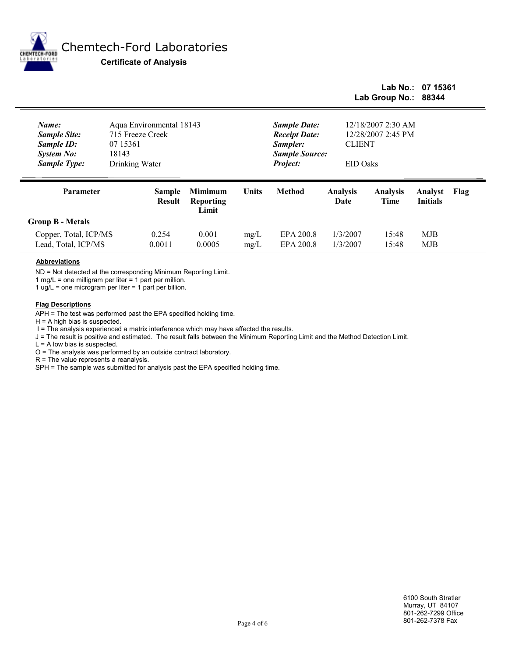

ē

# Chemtech-Ford Laboratories

Certificate of Analysis

## Lab Group No.: 88344 Lab No.: 07 15361

| Name:<br><b>Sample Site:</b><br>Sample ID:<br><b>System No:</b><br><b>Sample Type:</b> | Aqua Environmental 18143<br>715 Freeze Creek<br>07 15361<br>18143<br>Drinking Water |                                             |              | <b>Sample Date:</b><br><b>Receipt Date:</b><br>Sampler:<br><b>Sample Source:</b><br>Project: | <b>CLIENT</b>           | 12/18/2007 2:30 AM<br>12/28/2007 2:45 PM<br>EID Oaks |                            |      |  |  |  |  |
|----------------------------------------------------------------------------------------|-------------------------------------------------------------------------------------|---------------------------------------------|--------------|----------------------------------------------------------------------------------------------|-------------------------|------------------------------------------------------|----------------------------|------|--|--|--|--|
| Parameter                                                                              | <b>Sample</b><br><b>Result</b>                                                      | <b>Mimimum</b><br><b>Reporting</b><br>Limit | <b>Units</b> | <b>Method</b>                                                                                | <b>Analysis</b><br>Date | <b>Analysis</b><br>Time                              | Analyst<br><b>Initials</b> | Flag |  |  |  |  |
| <b>Group B - Metals</b>                                                                |                                                                                     |                                             |              |                                                                                              |                         |                                                      |                            |      |  |  |  |  |
| Copper, Total, ICP/MS                                                                  | 0.254                                                                               | 0.001                                       | mg/L         | EPA 200.8                                                                                    | 1/3/2007                | 15:48                                                | MJB                        |      |  |  |  |  |
| Lead, Total, ICP/MS                                                                    | 0.0011                                                                              | 0.0005                                      | mg/L         | EPA 200.8                                                                                    | 1/3/2007                | 15:48                                                | MJB                        |      |  |  |  |  |

#### Abbreviations

ND = Not detected at the corresponding Minimum Reporting Limit.

1 mg/L = one milligram per liter = 1 part per million.

1 ug/L = one microgram per liter = 1 part per billion.

#### Flag Descriptions

APH = The test was performed past the EPA specified holding time.

 $H = A$  high bias is suspected.

I = The analysis experienced a matrix interference which may have affected the results.

J = The result is positive and estimated. The result falls between the Minimum Reporting Limit and the Method Detection Limit.

 $L = A$  low bias is suspected.

O = The analysis was performed by an outside contract laboratory.

R = The value represents a reanalysis.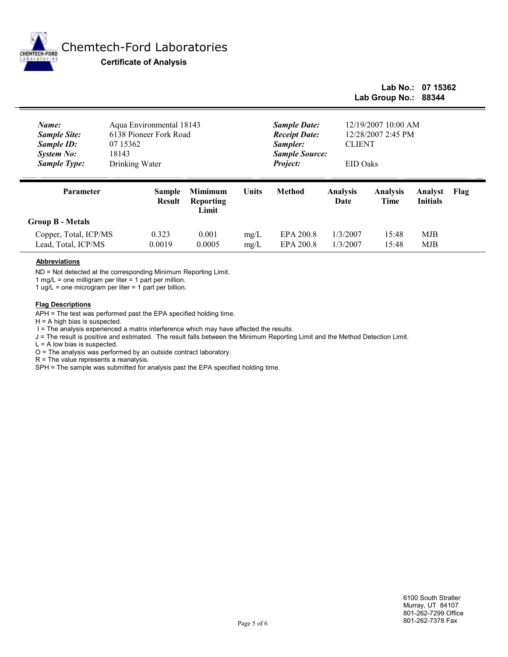

 $\overline{\phantom{0}}$ 

## Chemtech-Ford Laboratories

Certificate of Analysis

## Lab Group No.: 88344 Lab No.: 07 15362

| Name:<br><b>Sample Site:</b><br>Sample ID:<br><b>System No:</b><br><b>Sample Type:</b> | Aqua Environmental 18143<br>6138 Pioneer Fork Road<br>07 15362<br>18143<br>Drinking Water |                                             |              | <b>Sample Date:</b><br><b>Receipt Date:</b><br>Sampler:<br><b>Sample Source:</b><br>Project: | 12/19/2007 10:00 AM<br>12/28/2007 2:45 PM<br><b>CLIENT</b><br><b>EID</b> Oaks |                         |                            |      |  |  |  |
|----------------------------------------------------------------------------------------|-------------------------------------------------------------------------------------------|---------------------------------------------|--------------|----------------------------------------------------------------------------------------------|-------------------------------------------------------------------------------|-------------------------|----------------------------|------|--|--|--|
| Parameter                                                                              | <b>Sample</b><br><b>Result</b>                                                            | <b>Mimimum</b><br><b>Reporting</b><br>Limit | <b>Units</b> | <b>Method</b>                                                                                | <b>Analysis</b><br>Date                                                       | <b>Analysis</b><br>Time | Analyst<br><b>Initials</b> | Flag |  |  |  |
| <b>Group B - Metals</b>                                                                |                                                                                           |                                             |              |                                                                                              |                                                                               |                         |                            |      |  |  |  |
| Copper, Total, ICP/MS                                                                  | 0.323                                                                                     | 0.001                                       | mg/L         | EPA 200.8                                                                                    | 1/3/2007                                                                      | 15:48                   | MJB                        |      |  |  |  |

#### Abbreviations

ND = Not detected at the corresponding Minimum Reporting Limit.

1 mg/L = one milligram per liter = 1 part per million.

1 ug/L = one microgram per liter =  $1$  part per billion.

#### **Flag Descriptions**

APH = The test was performed past the EPA specified holding time.

 $H = A$  high bias is suspected.

I = The analysis experienced a matrix interference which may have affected the results.

J = The result is positive and estimated. The result falls between the Minimum Reporting Limit and the Method Detection Limit.

Lead, Total, ICP/MS 0.0019 0.0005 mg/L EPA 200.8 1/3/2007 15:48 MJB

 $L = A$  low bias is suspected.

O = The analysis was performed by an outside contract laboratory.

R = The value represents a reanalysis.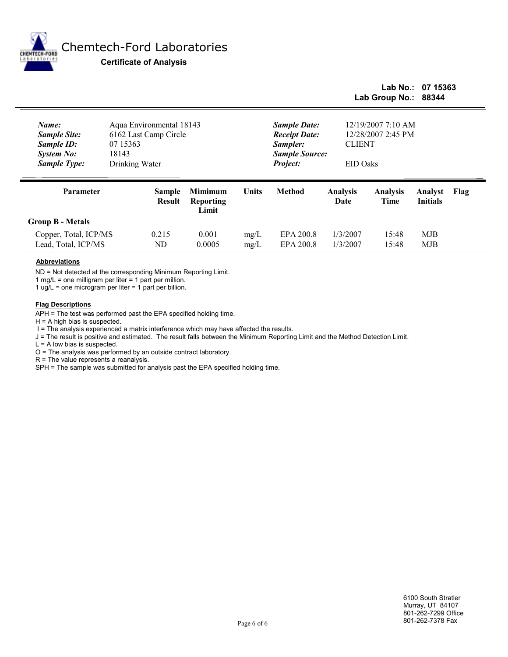

ē

## Chemtech-Ford Laboratories

Certificate of Analysis

## Lab Group No.: 88344 Lab No.: 07 15363

| Name:<br><b>Sample Site:</b><br>Sample ID:<br><b>System No:</b><br><b>Sample Type:</b> | 07 15363<br>18143 | Aqua Environmental 18143<br>6162 Last Camp Circle<br>Drinking Water |                                             |              | <b>Sample Date:</b><br><b>Receipt Date:</b><br>Sampler:<br><b>Sample Source:</b><br>Project: | 12/19/2007 7:10 AM<br>12/28/2007 2:45 PM<br><b>CLIENT</b><br>EID Oaks |                         |                            |      |  |  |  |
|----------------------------------------------------------------------------------------|-------------------|---------------------------------------------------------------------|---------------------------------------------|--------------|----------------------------------------------------------------------------------------------|-----------------------------------------------------------------------|-------------------------|----------------------------|------|--|--|--|
| Parameter                                                                              |                   | <b>Sample</b><br><b>Result</b>                                      | <b>Mimimum</b><br><b>Reporting</b><br>Limit | <b>Units</b> | <b>Method</b>                                                                                | <b>Analysis</b><br>Date                                               | <b>Analysis</b><br>Time | Analyst<br><b>Initials</b> | Flag |  |  |  |
| <b>Group B - Metals</b>                                                                |                   |                                                                     |                                             |              |                                                                                              |                                                                       |                         |                            |      |  |  |  |
| Copper, Total, ICP/MS                                                                  |                   | 0.215                                                               | 0.001                                       | mg/L         | EPA 200.8                                                                                    | 1/3/2007                                                              | 15:48                   | MJB                        |      |  |  |  |
| Lead, Total, ICP/MS                                                                    |                   | ND                                                                  | 0.0005                                      | mg/L         | EPA 200.8                                                                                    | 1/3/2007                                                              | 15:48                   | MJB                        |      |  |  |  |

#### Abbreviations

ND = Not detected at the corresponding Minimum Reporting Limit.

1 mg/L = one milligram per liter = 1 part per million.

1 ug/L = one microgram per liter = 1 part per billion.

#### Flag Descriptions

APH = The test was performed past the EPA specified holding time.

 $H = A$  high bias is suspected.

I = The analysis experienced a matrix interference which may have affected the results.

J = The result is positive and estimated. The result falls between the Minimum Reporting Limit and the Method Detection Limit.

 $L = A$  low bias is suspected.

O = The analysis was performed by an outside contract laboratory.

R = The value represents a reanalysis.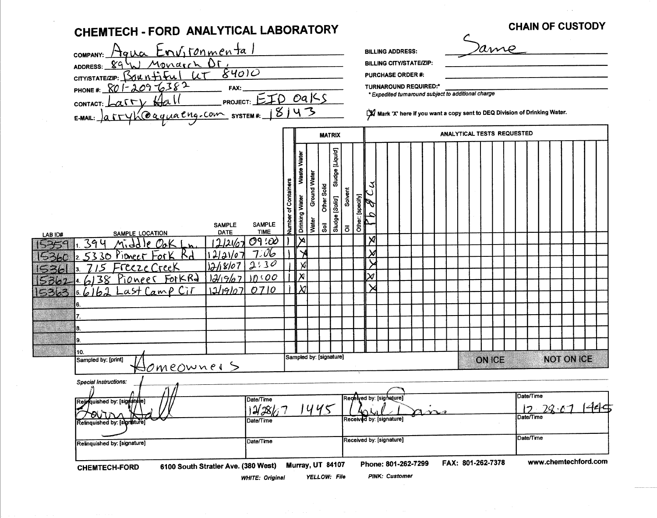|         | Relinquished by: [signature]                                                                  |                  | Date/Time                        |                      |                         |                             |                 |         |           |        |                                                                                  |                                |            |                                                     |                                                                            |                                     |                   | www.chemtechford.com |      |
|---------|-----------------------------------------------------------------------------------------------|------------------|----------------------------------|----------------------|-------------------------|-----------------------------|-----------------|---------|-----------|--------|----------------------------------------------------------------------------------|--------------------------------|------------|-----------------------------------------------------|----------------------------------------------------------------------------|-------------------------------------|-------------------|----------------------|------|
|         | Special Instructions:<br>Rejrquished by: [signatyite]<br>OUIN<br>Relinquished by: [signature] |                  | Date/Time<br>12/38/<br>Date/Time |                      |                         | 1445                        |                 |         |           |        | Regelγed by: [signature]<br>Received by: [signature]<br>Received by: [signature] |                                | $1 \wedge$ |                                                     |                                                                            | Date/Time<br>Date/Time<br>Date/Time | $17 - 79.11$      |                      | 1445 |
|         | Homeowner S                                                                                   |                  |                                  |                      |                         |                             |                 |         |           |        |                                                                                  |                                |            |                                                     |                                                                            |                                     |                   |                      |      |
|         | 10.<br>Sampled by: [print]                                                                    |                  |                                  |                      |                         | Sampled by: [signature]     |                 |         |           |        |                                                                                  |                                |            |                                                     | <b>ON ICE</b>                                                              |                                     | <b>NOT ON ICE</b> |                      |      |
|         | 9.                                                                                            |                  |                                  |                      |                         |                             |                 |         |           |        |                                                                                  |                                |            |                                                     |                                                                            |                                     |                   |                      |      |
|         |                                                                                               |                  |                                  |                      |                         |                             |                 |         |           |        |                                                                                  |                                |            |                                                     |                                                                            |                                     |                   |                      |      |
|         |                                                                                               |                  |                                  |                      |                         |                             |                 |         |           |        |                                                                                  |                                |            |                                                     |                                                                            |                                     |                   |                      |      |
| 5363    | C <sub>i</sub> r<br>CamP<br>αst                                                               | 12/19/07         | 0710                             |                      | $\chi$                  |                             |                 |         |           |        |                                                                                  |                                |            |                                                     |                                                                            |                                     |                   |                      |      |
|         | Pioneer ForkRd<br>38                                                                          | 12/19/07         | 10:00                            |                      | $\overline{\mathsf{x}}$ |                             |                 |         |           | $\chi$ |                                                                                  |                                |            |                                                     |                                                                            |                                     |                   |                      |      |
|         | Freeze Creek                                                                                  | 12/18/07         | 2:30                             |                      | X                       |                             |                 |         |           |        |                                                                                  |                                |            |                                                     |                                                                            |                                     |                   |                      |      |
|         | Pioneer<br>5330<br>For K                                                                      | 12/21/07         | 7.06                             |                      |                         |                             |                 |         |           | Х      |                                                                                  |                                |            |                                                     |                                                                            |                                     |                   |                      |      |
| LAB ID# | SAMPLE LOCATION<br>394                                                                        | DATE             | <b>TIME</b><br>09:00             |                      | ×                       | $\bar{\tilde{\mathbf{s}}}$  |                 | ō       |           | X      |                                                                                  |                                |            |                                                     |                                                                            |                                     |                   |                      |      |
|         |                                                                                               | <b>SAMPLE</b>    | <b>SAMPLE</b>                    | Number of Containers | Drinking Water          | Water                       | Sludge [Solid]  |         | Other:    |        |                                                                                  |                                |            |                                                     |                                                                            |                                     |                   |                      |      |
|         |                                                                                               |                  |                                  |                      |                         | Ground Water<br>Other Solid |                 | Solvent | [specify] |        |                                                                                  |                                |            |                                                     |                                                                            |                                     |                   |                      |      |
|         |                                                                                               |                  |                                  |                      | Waste                   |                             |                 |         |           |        |                                                                                  |                                |            |                                                     |                                                                            |                                     |                   |                      |      |
|         |                                                                                               |                  |                                  |                      | Vate<br>                |                             | Sludge [Liquid] |         |           |        |                                                                                  |                                |            |                                                     |                                                                            |                                     |                   |                      |      |
|         |                                                                                               |                  |                                  |                      |                         |                             |                 |         |           |        |                                                                                  |                                |            |                                                     |                                                                            |                                     |                   |                      |      |
|         |                                                                                               |                  |                                  |                      |                         |                             | <b>MATRIX</b>   |         |           |        |                                                                                  |                                |            |                                                     | ANALYTICAL TESTS REQUESTED                                                 |                                     |                   |                      |      |
|         | <b>CONTACT:</b><br><u>Koaquachg.com</u> system#:<br>$E-MAIL:$<br>1a                           |                  |                                  | 8143                 |                         |                             |                 |         |           |        |                                                                                  |                                |            |                                                     | X Mark 'X' here if you want a copy sent to DEQ Division of Drinking Water. |                                     |                   |                      |      |
|         | 096382<br>PHONE #:<br>$\sim$ T $\sim$                                                         | FAX:<br>PROJECT: | EID.                             |                      |                         | $0a$ Ks                     |                 |         |           |        |                                                                                  | <b>TURNAROUND REQUIRED:*</b>   |            | * Expedited turnaround subject to additional charge |                                                                            |                                     |                   |                      |      |
|         | Bountifu<br>CITY/STATE/ZIP:                                                                   | 84010            |                                  |                      |                         |                             |                 |         |           |        |                                                                                  | <b>PURCHASE ORDER #:</b>       |            |                                                     |                                                                            |                                     |                   |                      |      |
|         | Monarch Dr.<br><u>୫୨</u><br><b>ADDRESS:</b>                                                   |                  |                                  |                      |                         |                             |                 |         |           |        |                                                                                  | <b>BILLING CITY/STATE/ZIP:</b> |            |                                                     |                                                                            |                                     |                   |                      |      |
|         | Environmental<br>TOILO<br><b>COMPANY:</b>                                                     |                  |                                  |                      |                         |                             |                 |         |           |        |                                                                                  | <b>BILLING ADDRESS:</b>        |            |                                                     | ame                                                                        |                                     |                   |                      |      |
|         |                                                                                               |                  |                                  |                      |                         |                             |                 |         |           |        |                                                                                  |                                |            |                                                     |                                                                            |                                     |                   |                      |      |

 $\sim$ 

 $\mathcal{L}^{\text{max}}_{\text{max}}$  and  $\mathcal{L}^{\text{max}}_{\text{max}}$ 

 $\label{eq:2.1} \frac{1}{\sqrt{2\pi}}\int_{\mathbb{R}^3}\frac{1}{\sqrt{2\pi}}\int_{\mathbb{R}^3}\frac{1}{\sqrt{2\pi}}\int_{\mathbb{R}^3}\frac{1}{\sqrt{2\pi}}\int_{\mathbb{R}^3}\frac{1}{\sqrt{2\pi}}\int_{\mathbb{R}^3}\frac{1}{\sqrt{2\pi}}\int_{\mathbb{R}^3}\frac{1}{\sqrt{2\pi}}\int_{\mathbb{R}^3}\frac{1}{\sqrt{2\pi}}\int_{\mathbb{R}^3}\frac{1}{\sqrt{2\pi}}\int_{\mathbb{R}^3}\frac{1$